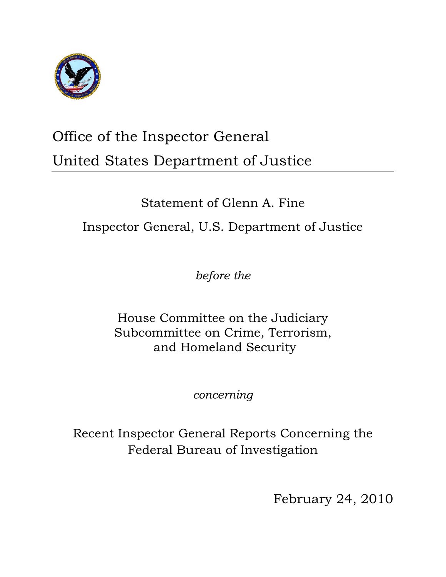

# Office of the Inspector General United States Department of Justice

# Statement of Glenn A. Fine Inspector General, U.S. Department of Justice

*before the*

House Committee on the Judiciary Subcommittee on Crime, Terrorism, and Homeland Security

*concerning*

Recent Inspector General Reports Concerning the Federal Bureau of Investigation

February 24, 2010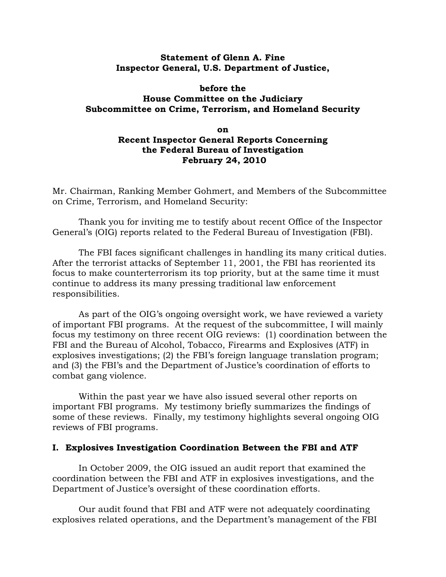### **Statement of Glenn A. Fine Inspector General, U.S. Department of Justice,**

# **before the House Committee on the Judiciary Subcommittee on Crime, Terrorism, and Homeland Security**

## **on Recent Inspector General Reports Concerning the Federal Bureau of Investigation February 24, 2010**

Mr. Chairman, Ranking Member Gohmert, and Members of the Subcommittee on Crime, Terrorism, and Homeland Security:

Thank you for inviting me to testify about recent Office of the Inspector General's (OIG) reports related to the Federal Bureau of Investigation (FBI).

The FBI faces significant challenges in handling its many critical duties. After the terrorist attacks of September 11, 2001, the FBI has reoriented its focus to make counterterrorism its top priority, but at the same time it must continue to address its many pressing traditional law enforcement responsibilities.

As part of the OIG's ongoing oversight work, we have reviewed a variety of important FBI programs. At the request of the subcommittee, I will mainly focus my testimony on three recent OIG reviews: (1) coordination between the FBI and the Bureau of Alcohol, Tobacco, Firearms and Explosives (ATF) in explosives investigations; (2) the FBI's foreign language translation program; and (3) the FBI's and the Department of Justice's coordination of efforts to combat gang violence.

Within the past year we have also issued several other reports on important FBI programs. My testimony briefly summarizes the findings of some of these reviews. Finally, my testimony highlights several ongoing OIG reviews of FBI programs.

### **I. Explosives Investigation Coordination Between the FBI and ATF**

 In October 2009, the OIG issued an audit report that examined the coordination between the FBI and ATF in explosives investigations, and the Department of Justice's oversight of these coordination efforts.

 Our audit found that FBI and ATF were not adequately coordinating explosives related operations, and the Department's management of the FBI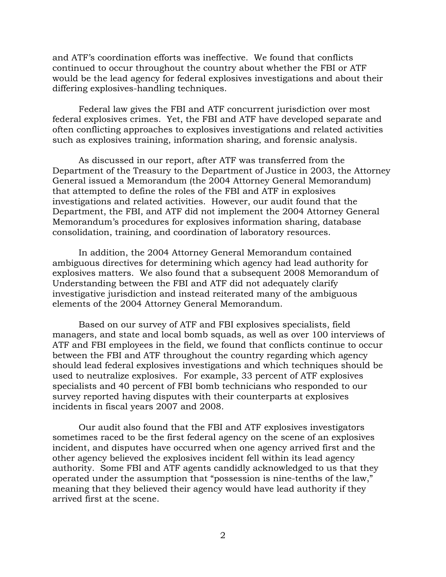and ATF's coordination efforts was ineffective. We found that conflicts continued to occur throughout the country about whether the FBI or ATF would be the lead agency for federal explosives investigations and about their differing explosives-handling techniques.

Federal law gives the FBI and ATF concurrent jurisdiction over most federal explosives crimes. Yet, the FBI and ATF have developed separate and often conflicting approaches to explosives investigations and related activities such as explosives training, information sharing, and forensic analysis.

As discussed in our report, after ATF was transferred from the Department of the Treasury to the Department of Justice in 2003, the Attorney General issued a Memorandum (the 2004 Attorney General Memorandum) that attempted to define the roles of the FBI and ATF in explosives investigations and related activities. However, our audit found that the Department, the FBI, and ATF did not implement the 2004 Attorney General Memorandum's procedures for explosives information sharing, database consolidation, training, and coordination of laboratory resources.

In addition, the 2004 Attorney General Memorandum contained ambiguous directives for determining which agency had lead authority for explosives matters. We also found that a subsequent 2008 Memorandum of Understanding between the FBI and ATF did not adequately clarify investigative jurisdiction and instead reiterated many of the ambiguous elements of the 2004 Attorney General Memorandum.

Based on our survey of ATF and FBI explosives specialists, field managers, and state and local bomb squads, as well as over 100 interviews of ATF and FBI employees in the field, we found that conflicts continue to occur between the FBI and ATF throughout the country regarding which agency should lead federal explosives investigations and which techniques should be used to neutralize explosives. For example, 33 percent of ATF explosives specialists and 40 percent of FBI bomb technicians who responded to our survey reported having disputes with their counterparts at explosives incidents in fiscal years 2007 and 2008.

Our audit also found that the FBI and ATF explosives investigators sometimes raced to be the first federal agency on the scene of an explosives incident, and disputes have occurred when one agency arrived first and the other agency believed the explosives incident fell within its lead agency authority. Some FBI and ATF agents candidly acknowledged to us that they operated under the assumption that "possession is nine-tenths of the law," meaning that they believed their agency would have lead authority if they arrived first at the scene.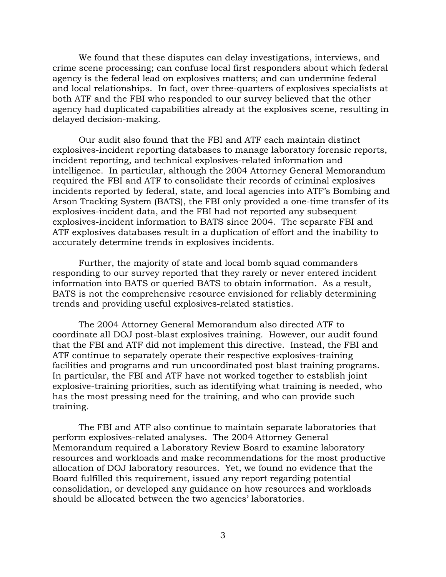We found that these disputes can delay investigations, interviews, and crime scene processing; can confuse local first responders about which federal agency is the federal lead on explosives matters; and can undermine federal and local relationships. In fact, over three-quarters of explosives specialists at both ATF and the FBI who responded to our survey believed that the other agency had duplicated capabilities already at the explosives scene, resulting in delayed decision-making.

Our audit also found that the FBI and ATF each maintain distinct explosives-incident reporting databases to manage laboratory forensic reports, incident reporting, and technical explosives-related information and intelligence. In particular, although the 2004 Attorney General Memorandum required the FBI and ATF to consolidate their records of criminal explosives incidents reported by federal, state, and local agencies into ATF's Bombing and Arson Tracking System (BATS), the FBI only provided a one-time transfer of its explosives-incident data, and the FBI had not reported any subsequent explosives-incident information to BATS since 2004. The separate FBI and ATF explosives databases result in a duplication of effort and the inability to accurately determine trends in explosives incidents.

Further, the majority of state and local bomb squad commanders responding to our survey reported that they rarely or never entered incident information into BATS or queried BATS to obtain information. As a result, BATS is not the comprehensive resource envisioned for reliably determining trends and providing useful explosives-related statistics.

The 2004 Attorney General Memorandum also directed ATF to coordinate all DOJ post-blast explosives training. However, our audit found that the FBI and ATF did not implement this directive. Instead, the FBI and ATF continue to separately operate their respective explosives-training facilities and programs and run uncoordinated post blast training programs. In particular, the FBI and ATF have not worked together to establish joint explosive-training priorities, such as identifying what training is needed, who has the most pressing need for the training, and who can provide such training.

The FBI and ATF also continue to maintain separate laboratories that perform explosives-related analyses. The 2004 Attorney General Memorandum required a Laboratory Review Board to examine laboratory resources and workloads and make recommendations for the most productive allocation of DOJ laboratory resources. Yet, we found no evidence that the Board fulfilled this requirement, issued any report regarding potential consolidation, or developed any guidance on how resources and workloads should be allocated between the two agencies' laboratories.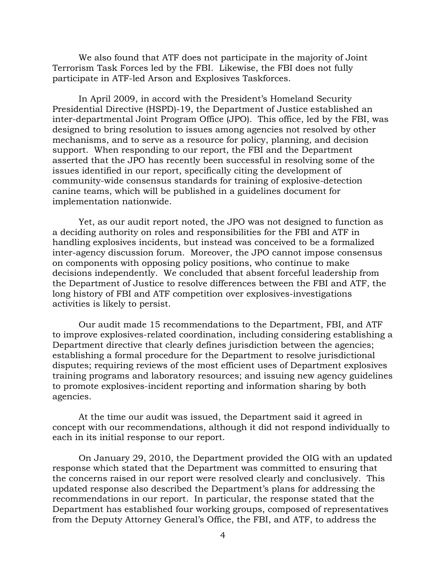We also found that ATF does not participate in the majority of Joint Terrorism Task Forces led by the FBI. Likewise, the FBI does not fully participate in ATF-led Arson and Explosives Taskforces.

In April 2009, in accord with the President's Homeland Security Presidential Directive (HSPD)-19, the Department of Justice established an inter-departmental Joint Program Office (JPO). This office, led by the FBI, was designed to bring resolution to issues among agencies not resolved by other mechanisms, and to serve as a resource for policy, planning, and decision support. When responding to our report, the FBI and the Department asserted that the JPO has recently been successful in resolving some of the issues identified in our report, specifically citing the development of community-wide consensus standards for training of explosive-detection canine teams, which will be published in a guidelines document for implementation nationwide.

Yet, as our audit report noted, the JPO was not designed to function as a deciding authority on roles and responsibilities for the FBI and ATF in handling explosives incidents, but instead was conceived to be a formalized inter-agency discussion forum. Moreover, the JPO cannot impose consensus on components with opposing policy positions, who continue to make decisions independently. We concluded that absent forceful leadership from the Department of Justice to resolve differences between the FBI and ATF, the long history of FBI and ATF competition over explosives-investigations activities is likely to persist.

Our audit made 15 recommendations to the Department, FBI, and ATF to improve explosives-related coordination, including considering establishing a Department directive that clearly defines jurisdiction between the agencies; establishing a formal procedure for the Department to resolve jurisdictional disputes; requiring reviews of the most efficient uses of Department explosives training programs and laboratory resources; and issuing new agency guidelines to promote explosives-incident reporting and information sharing by both agencies.

At the time our audit was issued, the Department said it agreed in concept with our recommendations, although it did not respond individually to each in its initial response to our report.

On January 29, 2010, the Department provided the OIG with an updated response which stated that the Department was committed to ensuring that the concerns raised in our report were resolved clearly and conclusively. This updated response also described the Department's plans for addressing the recommendations in our report. In particular, the response stated that the Department has established four working groups, composed of representatives from the Deputy Attorney General's Office, the FBI, and ATF, to address the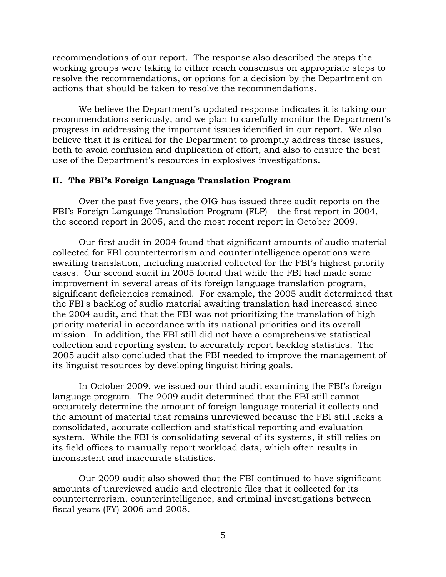recommendations of our report. The response also described the steps the working groups were taking to either reach consensus on appropriate steps to resolve the recommendations, or options for a decision by the Department on actions that should be taken to resolve the recommendations.

We believe the Department's updated response indicates it is taking our recommendations seriously, and we plan to carefully monitor the Department's progress in addressing the important issues identified in our report. We also believe that it is critical for the Department to promptly address these issues, both to avoid confusion and duplication of effort, and also to ensure the best use of the Department's resources in explosives investigations.

### **II. The FBI's Foreign Language Translation Program**

Over the past five years, the OIG has issued three audit reports on the FBI's Foreign Language Translation Program (FLP) – the first report in 2004, the second report in 2005, and the most recent report in October 2009.

Our first audit in 2004 found that significant amounts of audio material collected for FBI counterterrorism and counterintelligence operations were awaiting translation, including material collected for the FBI's highest priority cases. Our second audit in 2005 found that while the FBI had made some improvement in several areas of its foreign language translation program, significant deficiencies remained. For example, the 2005 audit determined that the FBI's backlog of audio material awaiting translation had increased since the 2004 audit, and that the FBI was not prioritizing the translation of high priority material in accordance with its national priorities and its overall mission. In addition, the FBI still did not have a comprehensive statistical collection and reporting system to accurately report backlog statistics. The 2005 audit also concluded that the FBI needed to improve the management of its linguist resources by developing linguist hiring goals.

In October 2009, we issued our third audit examining the FBI's foreign language program. The 2009 audit determined that the FBI still cannot accurately determine the amount of foreign language material it collects and the amount of material that remains unreviewed because the FBI still lacks a consolidated, accurate collection and statistical reporting and evaluation system. While the FBI is consolidating several of its systems, it still relies on its field offices to manually report workload data, which often results in inconsistent and inaccurate statistics.

Our 2009 audit also showed that the FBI continued to have significant amounts of unreviewed audio and electronic files that it collected for its counterterrorism, counterintelligence, and criminal investigations between fiscal years (FY) 2006 and 2008.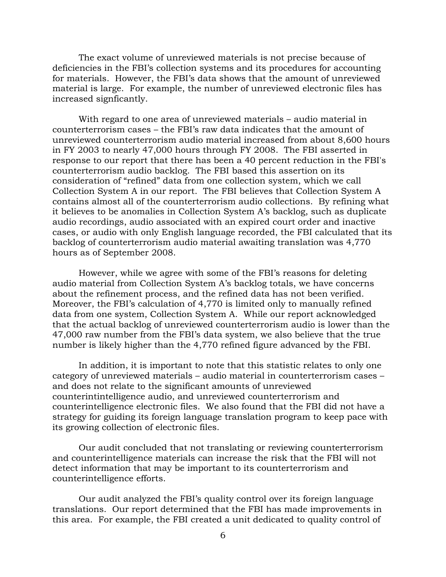The exact volume of unreviewed materials is not precise because of deficiencies in the FBI's collection systems and its procedures for accounting for materials. However, the FBI's data shows that the amount of unreviewed material is large. For example, the number of unreviewed electronic files has increased signficantly.

With regard to one area of unreviewed materials – audio material in counterterrorism cases – the FBI's raw data indicates that the amount of unreviewed counterterrorism audio material increased from about 8,600 hours in FY 2003 to nearly 47,000 hours through FY 2008. The FBI asserted in response to our report that there has been a 40 percent reduction in the FBI's counterterrorism audio backlog. The FBI based this assertion on its consideration of "refined" data from one collection system, which we call Collection System A in our report. The FBI believes that Collection System A contains almost all of the counterterrorism audio collections. By refining what it believes to be anomalies in Collection System A's backlog, such as duplicate audio recordings, audio associated with an expired court order and inactive cases, or audio with only English language recorded, the FBI calculated that its backlog of counterterrorism audio material awaiting translation was 4,770 hours as of September 2008.

However, while we agree with some of the FBI's reasons for deleting audio material from Collection System A's backlog totals, we have concerns about the refinement process, and the refined data has not been verified. Moreover, the FBI's calculation of 4,770 is limited only to manually refined data from one system, Collection System A. While our report acknowledged that the actual backlog of unreviewed counterterrorism audio is lower than the 47,000 raw number from the FBI's data system, we also believe that the true number is likely higher than the 4,770 refined figure advanced by the FBI.

In addition, it is important to note that this statistic relates to only one category of unreviewed materials – audio material in counterterrorism cases – and does not relate to the significant amounts of unreviewed counterintintelligence audio, and unreviewed counterterrorism and counterintelligence electronic files. We also found that the FBI did not have a strategy for guiding its foreign language translation program to keep pace with its growing collection of electronic files.

Our audit concluded that not translating or reviewing counterterrorism and counterintelligence materials can increase the risk that the FBI will not detect information that may be important to its counterterrorism and counterintelligence efforts.

Our audit analyzed the FBI's quality control over its foreign language translations. Our report determined that the FBI has made improvements in this area. For example, the FBI created a unit dedicated to quality control of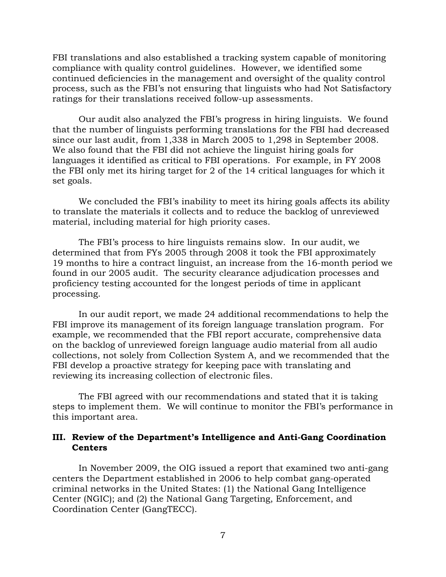FBI translations and also established a tracking system capable of monitoring compliance with quality control guidelines. However, we identified some continued deficiencies in the management and oversight of the quality control process, such as the FBI's not ensuring that linguists who had Not Satisfactory ratings for their translations received follow-up assessments.

Our audit also analyzed the FBI's progress in hiring linguists. We found that the number of linguists performing translations for the FBI had decreased since our last audit, from 1,338 in March 2005 to 1,298 in September 2008. We also found that the FBI did not achieve the linguist hiring goals for languages it identified as critical to FBI operations. For example, in FY 2008 the FBI only met its hiring target for 2 of the 14 critical languages for which it set goals.

We concluded the FBI's inability to meet its hiring goals affects its ability to translate the materials it collects and to reduce the backlog of unreviewed material, including material for high priority cases.

The FBI's process to hire linguists remains slow. In our audit, we determined that from FYs 2005 through 2008 it took the FBI approximately 19 months to hire a contract linguist, an increase from the 16-month period we found in our 2005 audit. The security clearance adjudication processes and proficiency testing accounted for the longest periods of time in applicant processing.

In our audit report, we made 24 additional recommendations to help the FBI improve its management of its foreign language translation program. For example, we recommended that the FBI report accurate, comprehensive data on the backlog of unreviewed foreign language audio material from all audio collections, not solely from Collection System A, and we recommended that the FBI develop a proactive strategy for keeping pace with translating and reviewing its increasing collection of electronic files.

The FBI agreed with our recommendations and stated that it is taking steps to implement them. We will continue to monitor the FBI's performance in this important area.

## **III. Review of the Department's Intelligence and Anti-Gang Coordination Centers**

In November 2009, the OIG issued a report that examined two anti-gang centers the Department established in 2006 to help combat gang-operated criminal networks in the United States: (1) the National Gang Intelligence Center (NGIC); and (2) the National Gang Targeting, Enforcement, and Coordination Center (GangTECC).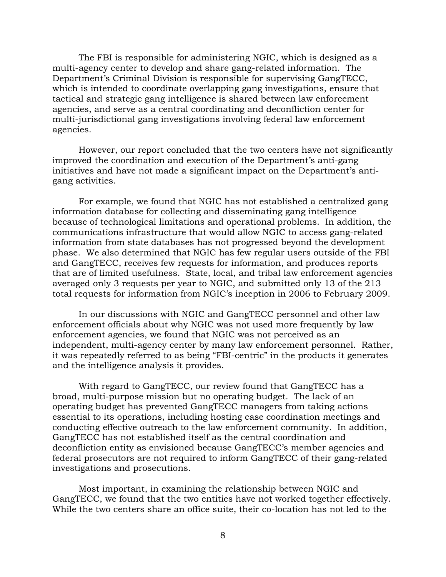The FBI is responsible for administering NGIC, which is designed as a multi-agency center to develop and share gang-related information. The Department's Criminal Division is responsible for supervising GangTECC, which is intended to coordinate overlapping gang investigations, ensure that tactical and strategic gang intelligence is shared between law enforcement agencies, and serve as a central coordinating and deconfliction center for multi-jurisdictional gang investigations involving federal law enforcement agencies.

However, our report concluded that the two centers have not significantly improved the coordination and execution of the Department's anti-gang initiatives and have not made a significant impact on the Department's antigang activities.

For example, we found that NGIC has not established a centralized gang information database for collecting and disseminating gang intelligence because of technological limitations and operational problems. In addition, the communications infrastructure that would allow NGIC to access gang-related information from state databases has not progressed beyond the development phase. We also determined that NGIC has few regular users outside of the FBI and GangTECC, receives few requests for information, and produces reports that are of limited usefulness. State, local, and tribal law enforcement agencies averaged only 3 requests per year to NGIC, and submitted only 13 of the 213 total requests for information from NGIC's inception in 2006 to February 2009.

In our discussions with NGIC and GangTECC personnel and other law enforcement officials about why NGIC was not used more frequently by law enforcement agencies, we found that NGIC was not perceived as an independent, multi-agency center by many law enforcement personnel. Rather, it was repeatedly referred to as being "FBI-centric" in the products it generates and the intelligence analysis it provides.

With regard to GangTECC, our review found that GangTECC has a broad, multi-purpose mission but no operating budget. The lack of an operating budget has prevented GangTECC managers from taking actions essential to its operations, including hosting case coordination meetings and conducting effective outreach to the law enforcement community. In addition, GangTECC has not established itself as the central coordination and deconfliction entity as envisioned because GangTECC's member agencies and federal prosecutors are not required to inform GangTECC of their gang-related investigations and prosecutions.

Most important, in examining the relationship between NGIC and GangTECC, we found that the two entities have not worked together effectively. While the two centers share an office suite, their co-location has not led to the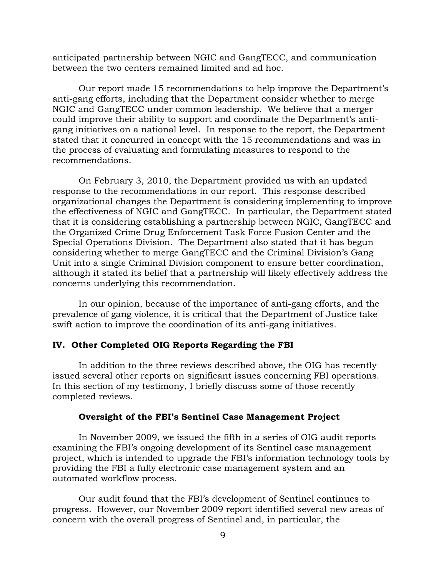anticipated partnership between NGIC and GangTECC, and communication between the two centers remained limited and ad hoc.

Our report made 15 recommendations to help improve the Department's anti-gang efforts, including that the Department consider whether to merge NGIC and GangTECC under common leadership. We believe that a merger could improve their ability to support and coordinate the Department's antigang initiatives on a national level. In response to the report, the Department stated that it concurred in concept with the 15 recommendations and was in the process of evaluating and formulating measures to respond to the recommendations.

On February 3, 2010, the Department provided us with an updated response to the recommendations in our report. This response described organizational changes the Department is considering implementing to improve the effectiveness of NGIC and GangTECC. In particular, the Department stated that it is considering establishing a partnership between NGIC, GangTECC and the Organized Crime Drug Enforcement Task Force Fusion Center and the Special Operations Division. The Department also stated that it has begun considering whether to merge GangTECC and the Criminal Division's Gang Unit into a single Criminal Division component to ensure better coordination, although it stated its belief that a partnership will likely effectively address the concerns underlying this recommendation.

In our opinion, because of the importance of anti-gang efforts, and the prevalence of gang violence, it is critical that the Department of Justice take swift action to improve the coordination of its anti-gang initiatives.

# **IV. Other Completed OIG Reports Regarding the FBI**

In addition to the three reviews described above, the OIG has recently issued several other reports on significant issues concerning FBI operations. In this section of my testimony, I briefly discuss some of those recently completed reviews.

#### **Oversight of the FBI's Sentinel Case Management Project**

In November 2009, we issued the fifth in a series of OIG audit reports examining the FBI's ongoing development of its Sentinel case management project, which is intended to upgrade the FBI's information technology tools by providing the FBI a fully electronic case management system and an automated workflow process.

Our audit found that the FBI's development of Sentinel continues to progress. However, our November 2009 report identified several new areas of concern with the overall progress of Sentinel and, in particular, the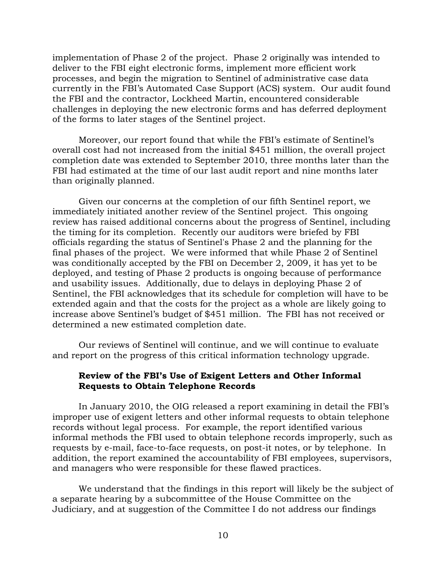implementation of Phase 2 of the project. Phase 2 originally was intended to deliver to the FBI eight electronic forms, implement more efficient work processes, and begin the migration to Sentinel of administrative case data currently in the FBI's Automated Case Support (ACS) system. Our audit found the FBI and the contractor, Lockheed Martin, encountered considerable challenges in deploying the new electronic forms and has deferred deployment of the forms to later stages of the Sentinel project.

Moreover, our report found that while the FBI's estimate of Sentinel's overall cost had not increased from the initial \$451 million, the overall project completion date was extended to September 2010, three months later than the FBI had estimated at the time of our last audit report and nine months later than originally planned.

Given our concerns at the completion of our fifth Sentinel report, we immediately initiated another review of the Sentinel project. This ongoing review has raised additional concerns about the progress of Sentinel, including the timing for its completion. Recently our auditors were briefed by FBI officials regarding the status of Sentinel's Phase 2 and the planning for the final phases of the project. We were informed that while Phase 2 of Sentinel was conditionally accepted by the FBI on December 2, 2009, it has yet to be deployed, and testing of Phase 2 products is ongoing because of performance and usability issues. Additionally, due to delays in deploying Phase 2 of Sentinel, the FBI acknowledges that its schedule for completion will have to be extended again and that the costs for the project as a whole are likely going to increase above Sentinel's budget of \$451 million. The FBI has not received or determined a new estimated completion date.

Our reviews of Sentinel will continue, and we will continue to evaluate and report on the progress of this critical information technology upgrade.

### **Review of the FBI's Use of Exigent Letters and Other Informal Requests to Obtain Telephone Records**

In January 2010, the OIG released a report examining in detail the FBI's improper use of exigent letters and other informal requests to obtain telephone records without legal process. For example, the report identified various informal methods the FBI used to obtain telephone records improperly, such as requests by e-mail, face-to-face requests, on post-it notes, or by telephone. In addition, the report examined the accountability of FBI employees, supervisors, and managers who were responsible for these flawed practices.

We understand that the findings in this report will likely be the subject of a separate hearing by a subcommittee of the House Committee on the Judiciary, and at suggestion of the Committee I do not address our findings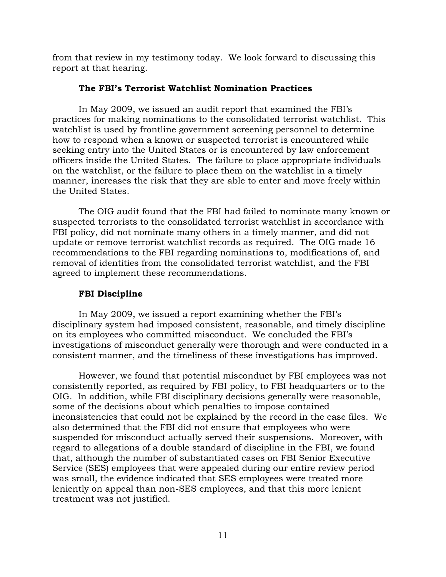from that review in my testimony today. We look forward to discussing this report at that hearing.

## **The FBI's Terrorist Watchlist Nomination Practices**

In May 2009, we issued an audit report that examined the FBI's practices for making nominations to the consolidated terrorist watchlist. This watchlist is used by frontline government screening personnel to determine how to respond when a known or suspected terrorist is encountered while seeking entry into the United States or is encountered by law enforcement officers inside the United States. The failure to place appropriate individuals on the watchlist, or the failure to place them on the watchlist in a timely manner, increases the risk that they are able to enter and move freely within the United States.

The OIG audit found that the FBI had failed to nominate many known or suspected terrorists to the consolidated terrorist watchlist in accordance with FBI policy, did not nominate many others in a timely manner, and did not update or remove terrorist watchlist records as required. The OIG made 16 recommendations to the FBI regarding nominations to, modifications of, and removal of identities from the consolidated terrorist watchlist, and the FBI agreed to implement these recommendations.

## **FBI Discipline**

In May 2009, we issued a report examining whether the FBI's disciplinary system had imposed consistent, reasonable, and timely discipline on its employees who committed misconduct. We concluded the FBI's investigations of misconduct generally were thorough and were conducted in a consistent manner, and the timeliness of these investigations has improved.

However, we found that potential misconduct by FBI employees was not consistently reported, as required by FBI policy, to FBI headquarters or to the OIG. In addition, while FBI disciplinary decisions generally were reasonable, some of the decisions about which penalties to impose contained inconsistencies that could not be explained by the record in the case files. We also determined that the FBI did not ensure that employees who were suspended for misconduct actually served their suspensions. Moreover, with regard to allegations of a double standard of discipline in the FBI, we found that, although the number of substantiated cases on FBI Senior Executive Service (SES) employees that were appealed during our entire review period was small, the evidence indicated that SES employees were treated more leniently on appeal than non-SES employees, and that this more lenient treatment was not justified.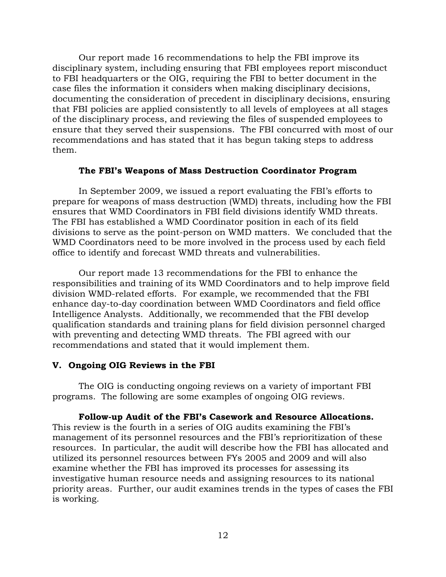Our report made 16 recommendations to help the FBI improve its disciplinary system, including ensuring that FBI employees report misconduct to FBI headquarters or the OIG, requiring the FBI to better document in the case files the information it considers when making disciplinary decisions, documenting the consideration of precedent in disciplinary decisions, ensuring that FBI policies are applied consistently to all levels of employees at all stages of the disciplinary process, and reviewing the files of suspended employees to ensure that they served their suspensions. The FBI concurred with most of our recommendations and has stated that it has begun taking steps to address them.

#### **The FBI's Weapons of Mass Destruction Coordinator Program**

In September 2009, we issued a report evaluating the FBI's efforts to prepare for weapons of mass destruction (WMD) threats, including how the FBI ensures that WMD Coordinators in FBI field divisions identify WMD threats. The FBI has established a WMD Coordinator position in each of its field divisions to serve as the point-person on WMD matters. We concluded that the WMD Coordinators need to be more involved in the process used by each field office to identify and forecast WMD threats and vulnerabilities.

Our report made 13 recommendations for the FBI to enhance the responsibilities and training of its WMD Coordinators and to help improve field division WMD-related efforts. For example, we recommended that the FBI enhance day-to-day coordination between WMD Coordinators and field office Intelligence Analysts. Additionally, we recommended that the FBI develop qualification standards and training plans for field division personnel charged with preventing and detecting WMD threats. The FBI agreed with our recommendations and stated that it would implement them.

#### **V. Ongoing OIG Reviews in the FBI**

The OIG is conducting ongoing reviews on a variety of important FBI programs. The following are some examples of ongoing OIG reviews.

#### **Follow-up Audit of the FBI's Casework and Resource Allocations.**

This review is the fourth in a series of OIG audits examining the FBI's management of its personnel resources and the FBI's reprioritization of these resources. In particular, the audit will describe how the FBI has allocated and utilized its personnel resources between FYs 2005 and 2009 and will also examine whether the FBI has improved its processes for assessing its investigative human resource needs and assigning resources to its national priority areas. Further, our audit examines trends in the types of cases the FBI is working.